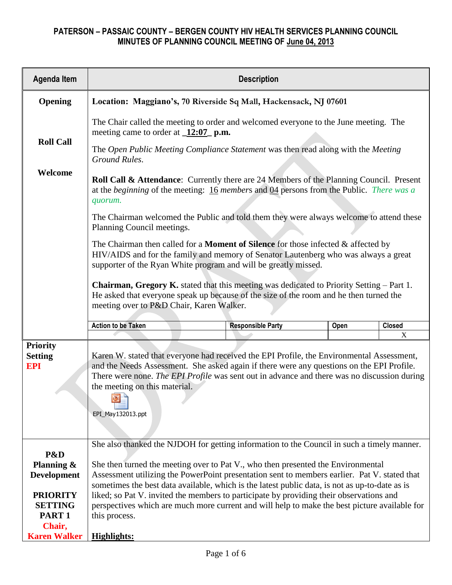| <b>Agenda Item</b>                              | <b>Description</b>                                                                                                                                                                                                                                                                                                                                        |                                                                                   |  |   |  |  |  |  |  |  |  |
|-------------------------------------------------|-----------------------------------------------------------------------------------------------------------------------------------------------------------------------------------------------------------------------------------------------------------------------------------------------------------------------------------------------------------|-----------------------------------------------------------------------------------|--|---|--|--|--|--|--|--|--|
| Opening                                         | Location: Maggiano's, 70 Riverside Sq Mall, Hackensack, NJ 07601                                                                                                                                                                                                                                                                                          |                                                                                   |  |   |  |  |  |  |  |  |  |
|                                                 | The Chair called the meeting to order and welcomed everyone to the June meeting. The<br>meeting came to order at $\sqrt{12:07}$ p.m.                                                                                                                                                                                                                      |                                                                                   |  |   |  |  |  |  |  |  |  |
| <b>Roll Call</b>                                | Ground Rules.                                                                                                                                                                                                                                                                                                                                             | The Open Public Meeting Compliance Statement was then read along with the Meeting |  |   |  |  |  |  |  |  |  |
| Welcome                                         | Roll Call & Attendance: Currently there are 24 Members of the Planning Council. Present<br>at the beginning of the meeting: $16$ members and $04$ persons from the Public. There was a<br>quorum.                                                                                                                                                         |                                                                                   |  |   |  |  |  |  |  |  |  |
|                                                 | The Chairman welcomed the Public and told them they were always welcome to attend these<br>Planning Council meetings.                                                                                                                                                                                                                                     |                                                                                   |  |   |  |  |  |  |  |  |  |
|                                                 | The Chairman then called for a <b>Moment of Silence</b> for those infected & affected by<br>HIV/AIDS and for the family and memory of Senator Lautenberg who was always a great<br>supporter of the Ryan White program and will be greatly missed.                                                                                                        |                                                                                   |  |   |  |  |  |  |  |  |  |
|                                                 | <b>Chairman, Gregory K.</b> stated that this meeting was dedicated to Priority Setting – Part 1.<br>He asked that everyone speak up because of the size of the room and he then turned the<br>meeting over to P&D Chair, Karen Walker.                                                                                                                    |                                                                                   |  |   |  |  |  |  |  |  |  |
|                                                 | <b>Action to be Taken</b><br>Closed<br><b>Responsible Party</b><br>Open                                                                                                                                                                                                                                                                                   |                                                                                   |  |   |  |  |  |  |  |  |  |
|                                                 |                                                                                                                                                                                                                                                                                                                                                           |                                                                                   |  | X |  |  |  |  |  |  |  |
| <b>Priority</b><br><b>Setting</b><br><b>EPI</b> | Karen W. stated that everyone had received the EPI Profile, the Environmental Assessment,<br>and the Needs Assessment. She asked again if there were any questions on the EPI Profile.<br>There were none. The EPI Profile was sent out in advance and there was no discussion during<br>the meeting on this material.<br>rest No. 1<br>EPI_May132013.ppt |                                                                                   |  |   |  |  |  |  |  |  |  |
| P&D<br>Planning &                               | She also thanked the NJDOH for getting information to the Council in such a timely manner.<br>She then turned the meeting over to Pat V., who then presented the Environmental                                                                                                                                                                            |                                                                                   |  |   |  |  |  |  |  |  |  |
| <b>Development</b><br><b>PRIORITY</b>           | Assessment utilizing the PowerPoint presentation sent to members earlier. Pat V. stated that<br>sometimes the best data available, which is the latest public data, is not as up-to-date as is<br>liked; so Pat V. invited the members to participate by providing their observations and                                                                 |                                                                                   |  |   |  |  |  |  |  |  |  |
| <b>SETTING</b><br>PART <sub>1</sub><br>Chair,   | perspectives which are much more current and will help to make the best picture available for<br>this process.                                                                                                                                                                                                                                            |                                                                                   |  |   |  |  |  |  |  |  |  |
| <b>Karen Walker</b>                             | <b>Highlights:</b>                                                                                                                                                                                                                                                                                                                                        |                                                                                   |  |   |  |  |  |  |  |  |  |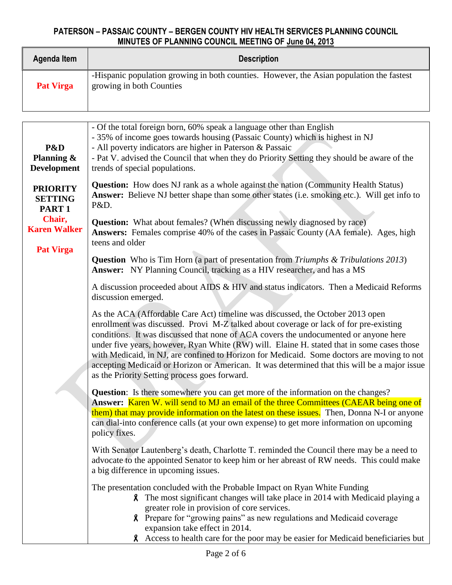| Agenda Item      | <b>Description</b>                                                                                                   |
|------------------|----------------------------------------------------------------------------------------------------------------------|
| <b>Pat Virga</b> | -Hispanic population growing in both counties. However, the Asian population the fastest<br>growing in both Counties |

| P&D<br>Planning $\&$<br><b>Development</b>             | - Of the total foreign born, 60% speak a language other than English<br>- 35% of income goes towards housing (Passaic County) which is highest in NJ<br>- All poverty indicators are higher in Paterson & Passaic<br>- Pat V. advised the Council that when they do Priority Setting they should be aware of the<br>trends of special populations.                                                                                                                                                                                                                                                           |  |  |  |  |  |  |  |
|--------------------------------------------------------|--------------------------------------------------------------------------------------------------------------------------------------------------------------------------------------------------------------------------------------------------------------------------------------------------------------------------------------------------------------------------------------------------------------------------------------------------------------------------------------------------------------------------------------------------------------------------------------------------------------|--|--|--|--|--|--|--|
| <b>PRIORITY</b><br><b>SETTING</b><br>PART <sub>1</sub> | <b>Question:</b> How does NJ rank as a whole against the nation (Community Health Status)<br>Answer: Believe NJ better shape than some other states (i.e. smoking etc.). Will get info to<br>P&D.                                                                                                                                                                                                                                                                                                                                                                                                            |  |  |  |  |  |  |  |
| Chair,<br><b>Karen Walker</b><br><b>Pat Virga</b>      | <b>Question:</b> What about females? (When discussing newly diagnosed by race)<br>Answers: Females comprise 40% of the cases in Passaic County (AA female). Ages, high<br>teens and older                                                                                                                                                                                                                                                                                                                                                                                                                    |  |  |  |  |  |  |  |
|                                                        | <b>Question</b> Who is Tim Horn (a part of presentation from Triumphs & Tribulations 2013)<br>Answer: NY Planning Council, tracking as a HIV researcher, and has a MS                                                                                                                                                                                                                                                                                                                                                                                                                                        |  |  |  |  |  |  |  |
|                                                        | A discussion proceeded about AIDS & HIV and status indicators. Then a Medicaid Reforms<br>discussion emerged.                                                                                                                                                                                                                                                                                                                                                                                                                                                                                                |  |  |  |  |  |  |  |
|                                                        | As the ACA (Affordable Care Act) timeline was discussed, the October 2013 open<br>enrollment was discussed. Provi M-Z talked about coverage or lack of for pre-existing<br>conditions. It was discussed that none of ACA covers the undocumented or anyone here<br>under five years, however, Ryan White (RW) will. Elaine H. stated that in some cases those<br>with Medicaid, in NJ, are confined to Horizon for Medicaid. Some doctors are moving to not<br>accepting Medicaid or Horizon or American. It was determined that this will be a major issue<br>as the Priority Setting process goes forward. |  |  |  |  |  |  |  |
|                                                        | <b>Question:</b> Is there somewhere you can get more of the information on the changes?<br>Answer: Karen W. will send to MJ an email of the three Committees (CAEAR being one of<br>them) that may provide information on the latest on these issues. Then, Donna N-I or anyone<br>can dial-into conference calls (at your own expense) to get more information on upcoming<br>policy fixes.                                                                                                                                                                                                                 |  |  |  |  |  |  |  |
|                                                        | With Senator Lautenberg's death, Charlotte T. reminded the Council there may be a need to<br>advocate to the appointed Senator to keep him or her abreast of RW needs. This could make<br>a big difference in upcoming issues.                                                                                                                                                                                                                                                                                                                                                                               |  |  |  |  |  |  |  |
|                                                        | The presentation concluded with the Probable Impact on Ryan White Funding<br><b>8</b> The most significant changes will take place in 2014 with Medicaid playing a<br>greater role in provision of core services.<br>Prepare for "growing pains" as new regulations and Medicaid coverage<br>X.<br>expansion take effect in 2014.<br><b>8</b> Access to health care for the poor may be easier for Medicaid beneficiaries but                                                                                                                                                                                |  |  |  |  |  |  |  |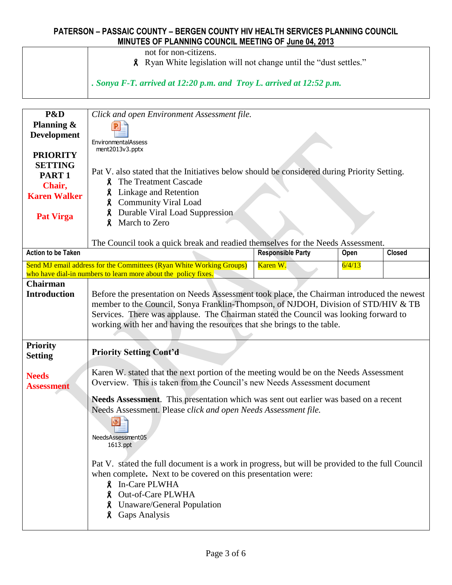not for non-citizens.

Ryan White legislation will not change until the "dust settles."

*. Sonya F-T. arrived at 12:20 p.m. and Troy L. arrived at 12:52 p.m.*

| P&D<br>Planning &<br><b>Development</b><br><b>PRIORITY</b><br><b>SETTING</b><br>PART <sub>1</sub><br>Chair,<br><b>Karen Walker</b><br><b>Pat Virga</b> | Click and open Environment Assessment file.<br>EnvironmentalAssess<br>ment2013v3.pptx<br>Pat V. also stated that the Initiatives below should be considered during Priority Setting.<br><b>8</b> The Treatment Cascade<br><b>8</b> Linkage and Retention<br><b>8</b> Community Viral Load<br>Durable Viral Load Suppression<br>$\boldsymbol{\mathsf{R}}$<br>March to Zero<br>X.                                    |                          |        |               |  |  |  |  |
|--------------------------------------------------------------------------------------------------------------------------------------------------------|--------------------------------------------------------------------------------------------------------------------------------------------------------------------------------------------------------------------------------------------------------------------------------------------------------------------------------------------------------------------------------------------------------------------|--------------------------|--------|---------------|--|--|--|--|
| <b>Action to be Taken</b>                                                                                                                              | The Council took a quick break and readied themselves for the Needs Assessment.                                                                                                                                                                                                                                                                                                                                    | <b>Responsible Party</b> | Open   | <b>Closed</b> |  |  |  |  |
|                                                                                                                                                        | Send MJ email address for the Committees (Ryan White Working Groups)                                                                                                                                                                                                                                                                                                                                               | Karen W.                 | 6/4/13 |               |  |  |  |  |
| <b>Chairman</b>                                                                                                                                        | who have dial-in numbers to learn more about the policy fixes.                                                                                                                                                                                                                                                                                                                                                     |                          |        |               |  |  |  |  |
| <b>Introduction</b>                                                                                                                                    | Before the presentation on Needs Assessment took place, the Chairman introduced the newest<br>member to the Council, Sonya Franklin-Thompson, of NJDOH, Division of STD/HIV & TB<br>Services. There was applause. The Chairman stated the Council was looking forward to<br>working with her and having the resources that she brings to the table.                                                                |                          |        |               |  |  |  |  |
| <b>Priority</b><br><b>Setting</b>                                                                                                                      | <b>Priority Setting Cont'd</b>                                                                                                                                                                                                                                                                                                                                                                                     |                          |        |               |  |  |  |  |
| <b>Needs</b><br><b>Assessment</b>                                                                                                                      | Karen W. stated that the next portion of the meeting would be on the Needs Assessment<br>Overview. This is taken from the Council's new Needs Assessment document                                                                                                                                                                                                                                                  |                          |        |               |  |  |  |  |
|                                                                                                                                                        | Needs Assessment. This presentation which was sent out earlier was based on a recent<br>Needs Assessment. Please click and open Needs Assessment file.<br>NeedsAssessment05<br>1613.ppt<br>Pat V. stated the full document is a work in progress, but will be provided to the full Council<br>when complete. Next to be covered on this presentation were:<br><b>8</b> In-Care PLWHA<br><b>8</b> Out-of-Care PLWHA |                          |        |               |  |  |  |  |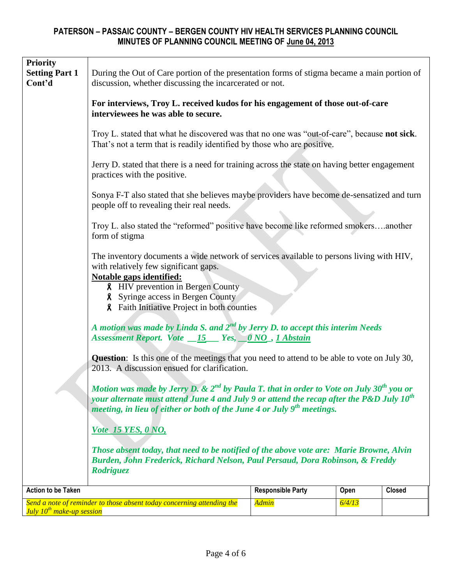| <b>Priority</b><br><b>Setting Part 1</b><br>Cont'd | discussion, whether discussing the incarcerated or not.                                                                                                                                                                                                                                                     | During the Out of Care portion of the presentation forms of stigma became a main portion of |        |               |  |  |  |  |  |
|----------------------------------------------------|-------------------------------------------------------------------------------------------------------------------------------------------------------------------------------------------------------------------------------------------------------------------------------------------------------------|---------------------------------------------------------------------------------------------|--------|---------------|--|--|--|--|--|
|                                                    | For interviews, Troy L. received kudos for his engagement of those out-of-care<br>interviewees he was able to secure.                                                                                                                                                                                       |                                                                                             |        |               |  |  |  |  |  |
|                                                    | Troy L. stated that what he discovered was that no one was "out-of-care", because <b>not sick</b> .<br>That's not a term that is readily identified by those who are positive.                                                                                                                              |                                                                                             |        |               |  |  |  |  |  |
|                                                    | Jerry D. stated that there is a need for training across the state on having better engagement<br>practices with the positive.                                                                                                                                                                              |                                                                                             |        |               |  |  |  |  |  |
|                                                    | Sonya F-T also stated that she believes maybe providers have become de-sensatized and turn<br>people off to revealing their real needs.                                                                                                                                                                     |                                                                                             |        |               |  |  |  |  |  |
|                                                    | Troy L. also stated the "reformed" positive have become like reformed smokersanother<br>form of stigma                                                                                                                                                                                                      |                                                                                             |        |               |  |  |  |  |  |
|                                                    | The inventory documents a wide network of services available to persons living with HIV,<br>with relatively few significant gaps.<br>Notable gaps identified:<br><b>8</b> HIV prevention in Bergen County<br><b>8</b> Syringe access in Bergen County<br><b>8</b> Faith Initiative Project in both counties |                                                                                             |        |               |  |  |  |  |  |
|                                                    | A motion was made by Linda S. and $2^{nd}$ by Jerry D. to accept this interim Needs<br>Assessment Report. Vote 15 Yes, 0NO, 1 Abstain                                                                                                                                                                       |                                                                                             |        |               |  |  |  |  |  |
|                                                    | <b>Question:</b> Is this one of the meetings that you need to attend to be able to vote on July 30,<br>2013. A discussion ensued for clarification.                                                                                                                                                         |                                                                                             |        |               |  |  |  |  |  |
|                                                    | Motion was made by Jerry D. & $2^{nd}$ by Paula T. that in order to Vote on July 30 <sup>th</sup> you or<br>your alternate must attend June 4 and July 9 or attend the recap after the P&D July $10^{th}$<br>meeting, in lieu of either or both of the June 4 or July $9th$ meetings.                       |                                                                                             |        |               |  |  |  |  |  |
|                                                    | <i>Vote</i> 15 YES, 0 NO,<br>Those absent today, that need to be notified of the above vote are: Marie Browne, Alvin<br>Burden, John Frederick, Richard Nelson, Paul Persaud, Dora Robinson, & Freddy<br><b>Rodriguez</b>                                                                                   |                                                                                             |        |               |  |  |  |  |  |
| <b>Action to be Taken</b>                          |                                                                                                                                                                                                                                                                                                             | <b>Responsible Party</b>                                                                    | Open   | <b>Closed</b> |  |  |  |  |  |
| July 10 <sup>th</sup> make-up session              | Send a note of reminder to those absent today concerning attending the                                                                                                                                                                                                                                      | <mark>Admin</mark>                                                                          | 6/4/13 |               |  |  |  |  |  |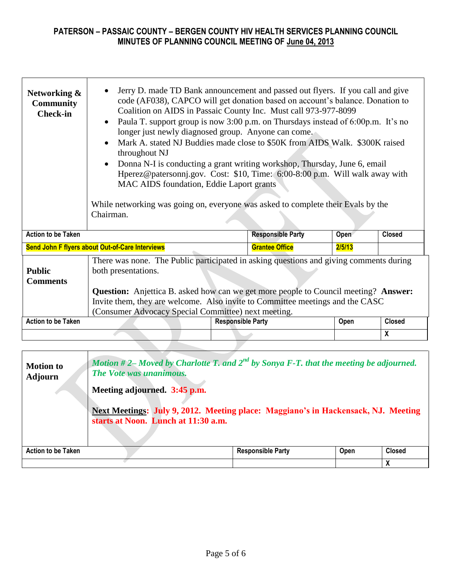| Networking &<br><b>Community</b><br><b>Check-in</b>                                                                                                                                                                                                                                                                                                                                     | Jerry D. made TD Bank announcement and passed out flyers. If you call and give<br>code (AF038), CAPCO will get donation based on account's balance. Donation to<br>Coalition on AIDS in Passaic County Inc. Must call 973-977-8099<br>Paula T. support group is now 3:00 p.m. on Thursdays instead of 6:00p.m. It's no<br>$\bullet$<br>longer just newly diagnosed group. Anyone can come.<br>Mark A. stated NJ Buddies made close to \$50K from AIDS Walk. \$300K raised<br>$\bullet$<br>throughout NJ<br>Donna N-I is conducting a grant writing workshop, Thursday, June 6, email<br>$\bullet$<br>Hperez@patersonnj.gov. Cost: \$10, Time: 6:00-8:00 p.m. Will walk away with<br>MAC AIDS foundation, Eddie Laport grants<br>While networking was going on, everyone was asked to complete their Evals by the<br>Chairman. |                          |                          |        |                  |  |  |  |  |
|-----------------------------------------------------------------------------------------------------------------------------------------------------------------------------------------------------------------------------------------------------------------------------------------------------------------------------------------------------------------------------------------|-------------------------------------------------------------------------------------------------------------------------------------------------------------------------------------------------------------------------------------------------------------------------------------------------------------------------------------------------------------------------------------------------------------------------------------------------------------------------------------------------------------------------------------------------------------------------------------------------------------------------------------------------------------------------------------------------------------------------------------------------------------------------------------------------------------------------------|--------------------------|--------------------------|--------|------------------|--|--|--|--|
| <b>Action to be Taken</b>                                                                                                                                                                                                                                                                                                                                                               |                                                                                                                                                                                                                                                                                                                                                                                                                                                                                                                                                                                                                                                                                                                                                                                                                               |                          | <b>Responsible Party</b> | Open   | <b>Closed</b>    |  |  |  |  |
|                                                                                                                                                                                                                                                                                                                                                                                         | Send John F flyers about Out-of-Care Interviews                                                                                                                                                                                                                                                                                                                                                                                                                                                                                                                                                                                                                                                                                                                                                                               |                          | <b>Grantee Office</b>    | 2/5/13 |                  |  |  |  |  |
| There was none. The Public participated in asking questions and giving comments during<br>both presentations.<br><b>Public</b><br><b>Comments</b><br><b>Question:</b> Anjettica B. asked how can we get more people to Council meeting? Answer:<br>Invite them, they are welcome. Also invite to Committee meetings and the CASC<br>(Consumer Advocacy Special Committee) next meeting. |                                                                                                                                                                                                                                                                                                                                                                                                                                                                                                                                                                                                                                                                                                                                                                                                                               |                          |                          |        |                  |  |  |  |  |
| <b>Action to be Taken</b>                                                                                                                                                                                                                                                                                                                                                               |                                                                                                                                                                                                                                                                                                                                                                                                                                                                                                                                                                                                                                                                                                                                                                                                                               | <b>Responsible Party</b> |                          | Open   | <b>Closed</b>    |  |  |  |  |
|                                                                                                                                                                                                                                                                                                                                                                                         |                                                                                                                                                                                                                                                                                                                                                                                                                                                                                                                                                                                                                                                                                                                                                                                                                               |                          |                          |        | $\boldsymbol{x}$ |  |  |  |  |
|                                                                                                                                                                                                                                                                                                                                                                                         |                                                                                                                                                                                                                                                                                                                                                                                                                                                                                                                                                                                                                                                                                                                                                                                                                               |                          |                          |        |                  |  |  |  |  |

| <b>Motion to</b><br><b>Adjourn</b> | The Vote was unanimous.<br>Meeting adjourned. 3:45 p.m. | starts at Noon. Lunch at 11:30 a.m. | Motion #2– Moved by Charlotte T. and $2^{nd}$ by Sonya F-T. that the meeting be adjourned.<br>Next Meetings: July 9, 2012. Meeting place: Maggiano's in Hackensack, NJ. Meeting |             |               |
|------------------------------------|---------------------------------------------------------|-------------------------------------|---------------------------------------------------------------------------------------------------------------------------------------------------------------------------------|-------------|---------------|
| <b>Action to be Taken</b>          |                                                         |                                     | <b>Responsible Party</b>                                                                                                                                                        | <b>Open</b> | <b>Closed</b> |
|                                    |                                                         |                                     |                                                                                                                                                                                 |             |               |